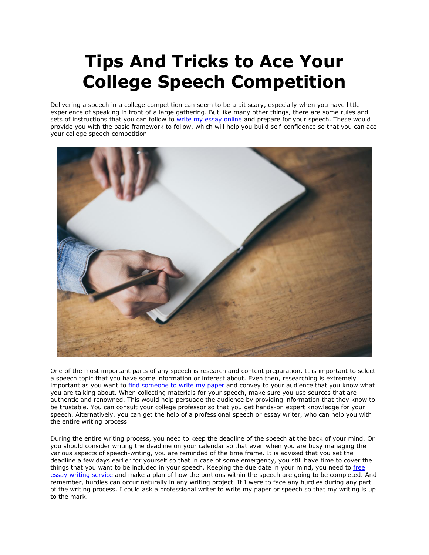## **Tips And Tricks to Ace Your College Speech Competition**

Delivering a speech in a college competition can seem to be a bit scary, especially when you have little experience of speaking in front of a large gathering. But like many other things, there are some rules and sets of instructions that you can follow to [write my essay online](https://essayhours.com/) and prepare for your speech. These would provide you with the basic framework to follow, which will help you build self-confidence so that you can ace your college speech competition.



One of the most important parts of any speech is research and content preparation. It is important to select a speech topic that you have some information or interest about. Even then, researching is extremely important as you want to [find someone to](https://www.writemyessay.help/) write my paper and convey to your audience that you know what you are talking about. When collecting materials for your speech, make sure you use sources that are authentic and renowned. This would help persuade the audience by providing information that they know to be trustable. You can consult your college professor so that you get hands-on expert knowledge for your speech. Alternatively, you can get the help of a professional speech or essay writer, who can help you with the entire writing process.

During the entire writing process, you need to keep the deadline of the speech at the back of your mind. Or you should consider writing the deadline on your calendar so that even when you are busy managing the various aspects of speech-writing, you are reminded of the time frame. It is advised that you set the deadline a few days earlier for yourself so that in case of some emergency, you still have time to cover the things that you want to be included in your speech. Keeping the due date in your mind, you need to [free](https://www.collegeessay.org/)  [essay writing service](https://www.collegeessay.org/) and make a plan of how the portions within the speech are going to be completed. And remember, hurdles can occur naturally in any writing project. If I were to face any hurdles during any part of the writing process, I could ask a professional writer to write my paper or speech so that my writing is up to the mark.